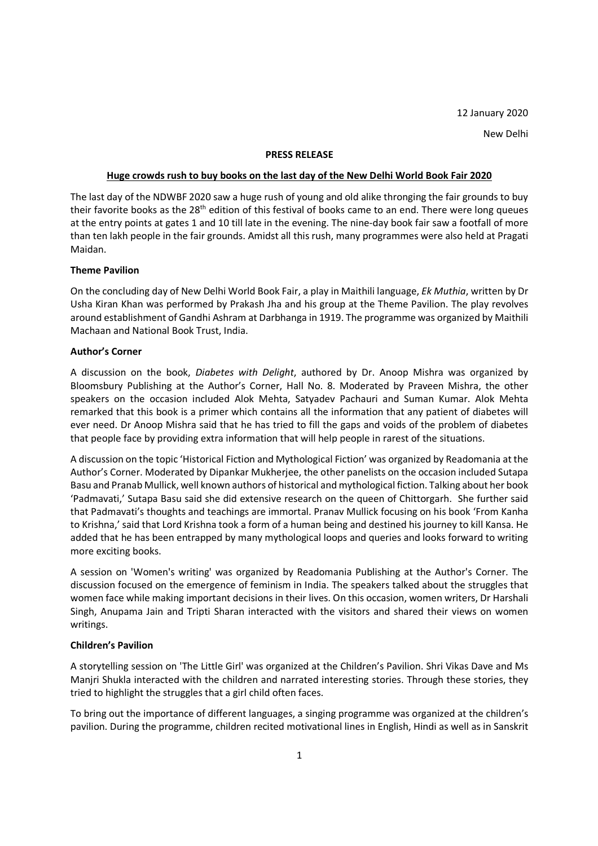#### **PRESS RELEASE**

#### **Huge crowds rush to buy books on the last day of the New Delhi World Book Fair 2020**

The last day of the NDWBF 2020 saw a huge rush of young and old alike thronging the fair grounds to buy their favorite books as the 28<sup>th</sup> edition of this festival of books came to an end. There were long queues at the entry points at gates 1 and 10 till late in the evening. The nine-day book fair saw a footfall of more than ten lakh people in the fair grounds. Amidst all this rush, many programmes were also held at Pragati Maidan.

# **Theme Pavilion**

On the concluding day of New Delhi World Book Fair, a play in Maithili language, *Ek Muthia*, written by Dr Usha Kiran Khan was performed by Prakash Jha and his group at the Theme Pavilion. The play revolves around establishment of Gandhi Ashram at Darbhanga in 1919. The programme was organized by Maithili Machaan and National Book Trust, India.

# **Author's Corner**

A discussion on the book, *Diabetes with Delight*, authored by Dr. Anoop Mishra was organized by Bloomsbury Publishing at the Author's Corner, Hall No. 8. Moderated by Praveen Mishra, the other speakers on the occasion included Alok Mehta, Satyadev Pachauri and Suman Kumar. Alok Mehta remarked that this book is a primer which contains all the information that any patient of diabetes will ever need. Dr Anoop Mishra said that he has tried to fill the gaps and voids of the problem of diabetes that people face by providing extra information that will help people in rarest of the situations.

A discussion on the topic 'Historical Fiction and Mythological Fiction' was organized by Readomania at the Author's Corner. Moderated by Dipankar Mukherjee, the other panelists on the occasion included Sutapa Basu and Pranab Mullick, well known authors of historical and mythological fiction. Talking about her book 'Padmavati,' Sutapa Basu said she did extensive research on the queen of Chittorgarh. She further said that Padmavati's thoughts and teachings are immortal. Pranav Mullick focusing on his book 'From Kanha to Krishna,' said that Lord Krishna took a form of a human being and destined his journey to kill Kansa. He added that he has been entrapped by many mythological loops and queries and looks forward to writing more exciting books.

A session on 'Women's writing' was organized by Readomania Publishing at the Author's Corner. The discussion focused on the emergence of feminism in India. The speakers talked about the struggles that women face while making important decisions in their lives. On this occasion, women writers, Dr Harshali Singh, Anupama Jain and Tripti Sharan interacted with the visitors and shared their views on women writings.

# **Children's Pavilion**

A storytelling session on 'The Little Girl' was organized at the Children's Pavilion. Shri Vikas Dave and Ms Manjri Shukla interacted with the children and narrated interesting stories. Through these stories, they tried to highlight the struggles that a girl child often faces.

To bring out the importance of different languages, a singing programme was organized at the children's pavilion. During the programme, children recited motivational lines in English, Hindi as well as in Sanskrit